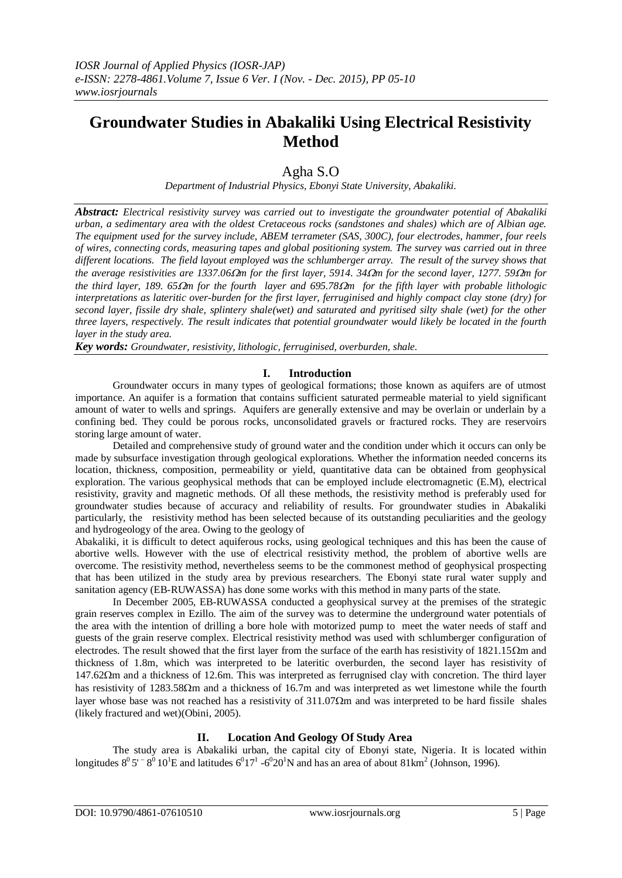# **Groundwater Studies in Abakaliki Using Electrical Resistivity Method**

## Agha S.O

*Department of Industrial Physics, Ebonyi State University, Abakaliki.*

*Abstract: Electrical resistivity survey was carried out to investigate the groundwater potential of Abakaliki urban, a sedimentary area with the oldest Cretaceous rocks (sandstones and shales) which are of Albian age. The equipment used for the survey include, ABEM terrameter (SAS, 300C), four electrodes, hammer, four reels of wires, connecting cords, measuring tapes and global positioning system. The survey was carried out in three different locations. The field layout employed was the schlumberger array. The result of the survey shows that the average resistivities are 1337.06* $\Omega$ *m for the first layer, 5914. 34* $\Omega$ *m for the second layer, 1277. 59* $\Omega$ *m for the third layer, 189. 65m for the fourth layer and 695.78m for the fifth layer with probable lithologic interpretations as lateritic over-burden for the first layer, ferruginised and highly compact clay stone (dry) for second layer, fissile dry shale, splintery shale(wet) and saturated and pyritised silty shale (wet) for the other three layers, respectively. The result indicates that potential groundwater would likely be located in the fourth layer in the study area.*

*Key words: Groundwater, resistivity, lithologic, ferruginised, overburden, shale.*

#### **I. Introduction**

Groundwater occurs in many types of geological formations; those known as aquifers are of utmost importance. An aquifer is a formation that contains sufficient saturated permeable material to yield significant amount of water to wells and springs. Aquifers are generally extensive and may be overlain or underlain by a confining bed. They could be porous rocks, unconsolidated gravels or fractured rocks. They are reservoirs storing large amount of water.

Detailed and comprehensive study of ground water and the condition under which it occurs can only be made by subsurface investigation through geological explorations. Whether the information needed concerns its location, thickness, composition, permeability or yield, quantitative data can be obtained from geophysical exploration. The various geophysical methods that can be employed include electromagnetic (E.M), electrical resistivity, gravity and magnetic methods. Of all these methods, the resistivity method is preferably used for groundwater studies because of accuracy and reliability of results. For groundwater studies in Abakaliki particularly, the resistivity method has been selected because of its outstanding peculiarities and the geology and hydrogeology of the area. Owing to the geology of

Abakaliki, it is difficult to detect aquiferous rocks, using geological techniques and this has been the cause of abortive wells. However with the use of electrical resistivity method, the problem of abortive wells are overcome. The resistivity method, nevertheless seems to be the commonest method of geophysical prospecting that has been utilized in the study area by previous researchers. The Ebonyi state rural water supply and sanitation agency (EB-RUWASSA) has done some works with this method in many parts of the state.

In December 2005, EB-RUWASSA conducted a geophysical survey at the premises of the strategic grain reserves complex in Ezillo. The aim of the survey was to determine the underground water potentials of the area with the intention of drilling a bore hole with motorized pump to meet the water needs of staff and guests of the grain reserve complex. Electrical resistivity method was used with schlumberger configuration of electrodes. The result showed that the first layer from the surface of the earth has resistivity of  $1821.15\Omega m$  and thickness of 1.8m, which was interpreted to be lateritic overburden, the second layer has resistivity of  $147.62\Omega$ m and a thickness of 12.6m. This was interpreted as ferrugnised clay with concretion. The third layer has resistivity of  $1283.58\Omega$ m and a thickness of 16.7m and was interpreted as wet limestone while the fourth layer whose base was not reached has a resistivity of  $311.07\Omega$ m and was interpreted to be hard fissile shales (likely fractured and wet)(Obini, 2005).

#### **II. Location And Geology Of Study Area**

The study area is Abakaliki urban, the capital city of Ebonyi state, Nigeria. It is located within longitudes  $8^0$  5'  $^ 8^0$  10<sup>1</sup>E and latitudes  $6^0$ 17<sup>1</sup> - $6^0$ 20<sup>1</sup>N and has an area of about 81km<sup>2</sup> (Johnson, 1996).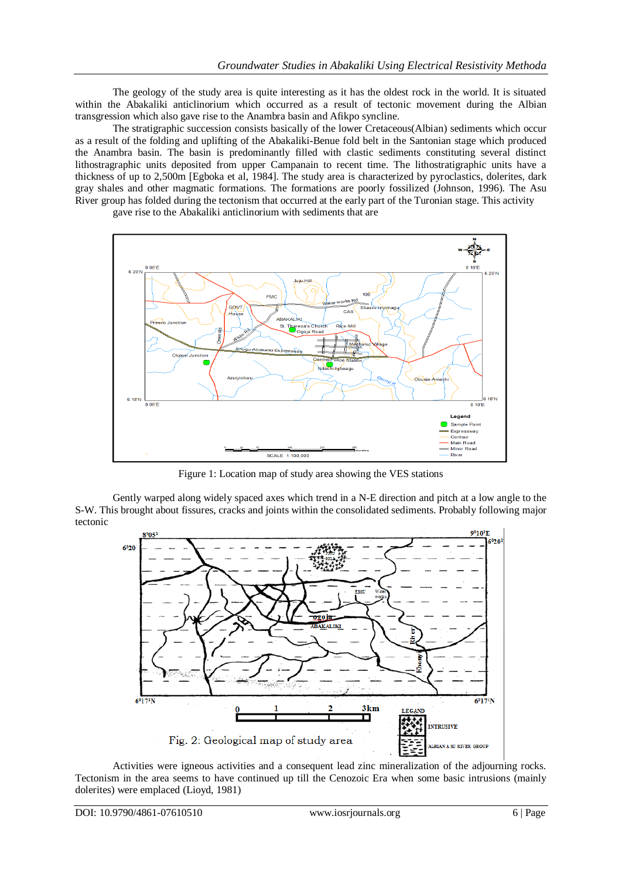The geology of the study area is quite interesting as it has the oldest rock in the world. It is situated within the Abakaliki anticlinorium which occurred as a result of tectonic movement during the Albian transgression which also gave rise to the Anambra basin and Afikpo syncline.

The stratigraphic succession consists basically of the lower Cretaceous(Albian) sediments which occur as a result of the folding and uplifting of the Abakaliki-Benue fold belt in the Santonian stage which produced the Anambra basin. The basin is predominantly filled with clastic sediments constituting several distinct lithostragraphic units deposited from upper Campanain to recent time. The lithostratigraphic units have a thickness of up to 2,500m [Egboka et al, 1984]. The study area is characterized by pyroclastics, dolerites, dark gray shales and other magmatic formations. The formations are poorly fossilized (Johnson, 1996). The Asu River group has folded during the tectonism that occurred at the early part of the Turonian stage. This activity

gave rise to the Abakaliki anticlinorium with sediments that are



Figure 1: Location map of study area showing the VES stations

Gently warped along widely spaced axes which trend in a N-E direction and pitch at a low angle to the S-W. This brought about fissures, cracks and joints within the consolidated sediments. Probably following major tectonic



Activities were igneous activities and a consequent lead zinc mineralization of the adjourning rocks. Tectonism in the area seems to have continued up till the Cenozoic Era when some basic intrusions (mainly dolerites) were emplaced (Lioyd, 1981)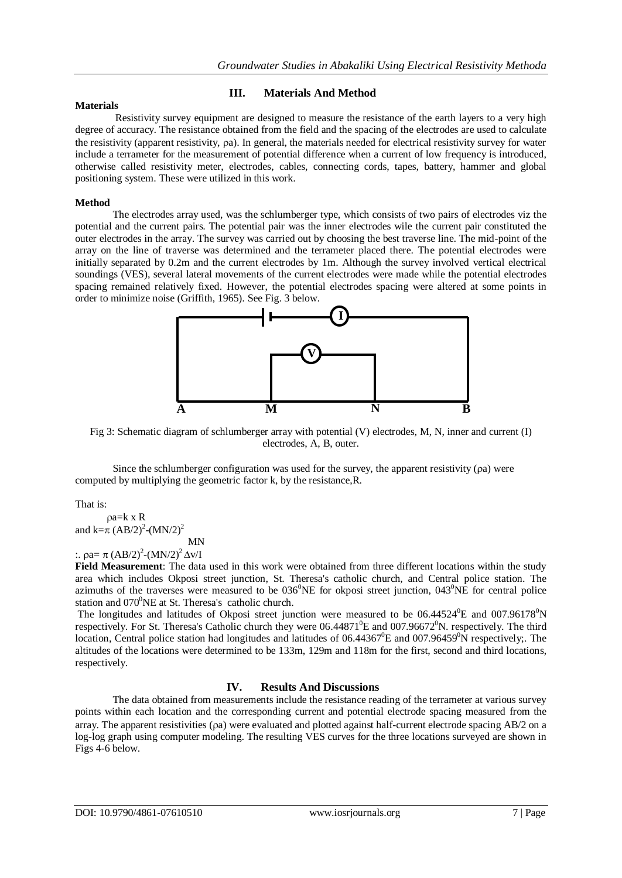#### **III. Materials And Method**

#### **Materials**

Resistivity survey equipment are designed to measure the resistance of the earth layers to a very high degree of accuracy. The resistance obtained from the field and the spacing of the electrodes are used to calculate the resistivity (apparent resistivity, a). In general, the materials needed for electrical resistivity survey for water include a terrameter for the measurement of potential difference when a current of low frequency is introduced, otherwise called resistivity meter, electrodes, cables, connecting cords, tapes, battery, hammer and global positioning system. These were utilized in this work.

#### **Method**

The electrodes array used, was the schlumberger type, which consists of two pairs of electrodes viz the potential and the current pairs. The potential pair was the inner electrodes wile the current pair constituted the outer electrodes in the array. The survey was carried out by choosing the best traverse line. The mid-point of the array on the line of traverse was determined and the terrameter placed there. The potential electrodes were initially separated by 0.2m and the current electrodes by 1m. Although the survey involved vertical electrical soundings (VES), several lateral movements of the current electrodes were made while the potential electrodes spacing remained relatively fixed. However, the potential electrodes spacing were altered at some points in order to minimize noise (Griffith, 1965). See Fig. 3 below.



Fig 3: Schematic diagram of schlumberger array with potential (V) electrodes, M, N, inner and current (I) electrodes, A, B, outer.

Since the schlumberger configuration was used for the survey, the apparent resistivity ( $\alpha$ ) were computed by multiplying the geometric factor k, by the resistance,R.

That is:

 $pa=k \times R$ and k= $\pi$  (AB/2)<sup>2</sup>-(MN/2)<sup>2</sup> MN

:.  $\text{pa} = \pi \left( \text{AB}/2 \right)^2 - (\text{MN}/2)^2 \Delta \text{v/I}$ 

**Field Measurement**: The data used in this work were obtained from three different locations within the study area which includes Okposi street junction, St. Theresa's catholic church, and Central police station. The azimuths of the traverses were measured to be  $036^{\circ}$ NE for okposi street junction,  $043^{\circ}$ NE for central police station and  $070^{\circ}$ NE at St. Theresa's catholic church.

The longitudes and latitudes of Okposi street junction were measured to be  $06.44524^{\circ}E$  and  $007.96178^{\circ}N$ respectively. For St. Theresa's Catholic church they were  $06.44871^{\circ}E$  and  $007.96672^{\circ}N$ . respectively. The third location, Central police station had longitudes and latitudes of  $06.44367^{\circ}E$  and  $007.96459^{\circ}N$  respectively;. The altitudes of the locations were determined to be 133m, 129m and 118m for the first, second and third locations, respectively.

#### **IV. Results And Discussions**

The data obtained from measurements include the resistance reading of the terrameter at various survey points within each location and the corresponding current and potential electrode spacing measured from the array. The apparent resistivities (a) were evaluated and plotted against half-current electrode spacing AB/2 on a log-log graph using computer modeling. The resulting VES curves for the three locations surveyed are shown in Figs 4-6 below.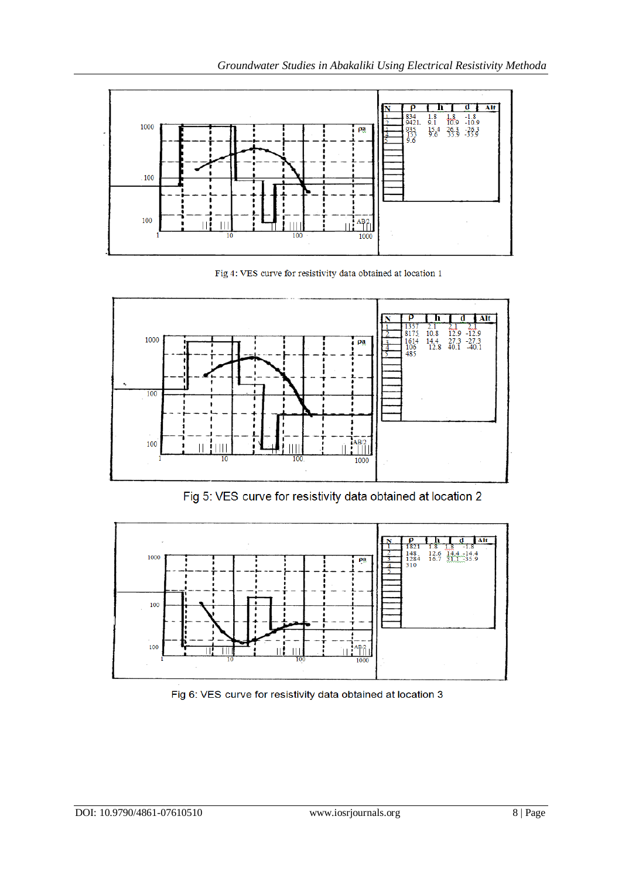

Fig 4: VES curve for resistivity data obtained at location 1



Fig 5: VES curve for resistivity data obtained at location 2



Fig 6: VES curve for resistivity data obtained at location 3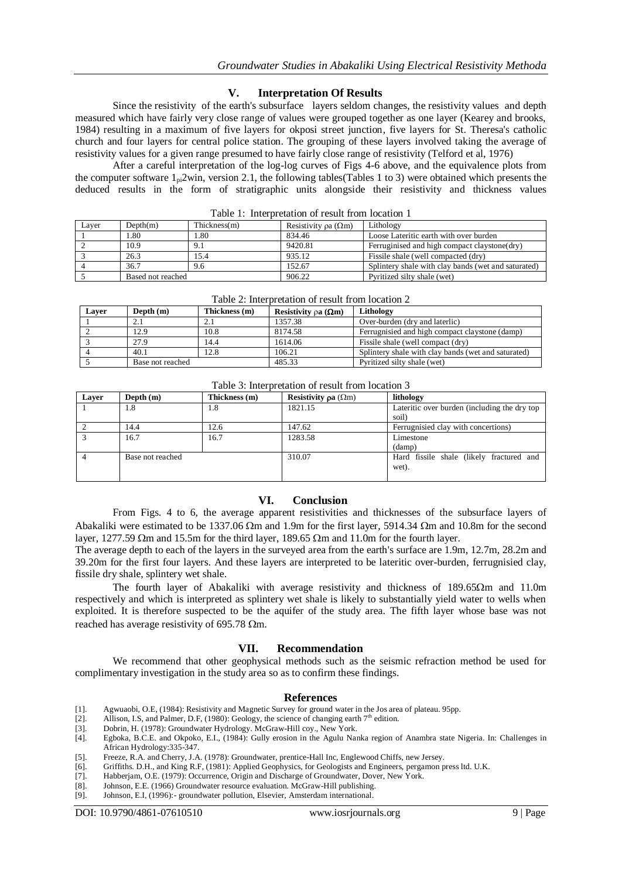#### **V. Interpretation Of Results**

Since the resistivity of the earth's subsurface layers seldom changes, the resistivity values and depth measured which have fairly very close range of values were grouped together as one layer (Kearey and brooks, 1984) resulting in a maximum of five layers for okposi street junction, five layers for St. Theresa's catholic church and four layers for central police station. The grouping of these layers involved taking the average of resistivity values for a given range presumed to have fairly close range of resistivity (Telford et al, 1976)

 After a careful interpretation of the log-log curves of Figs 4-6 above, and the equivalence plots from the computer software  $1_{\text{pl}}$  2win, version 2.1, the following tables(Tables 1 to 3) were obtained which presents the deduced results in the form of stratigraphic units alongside their resistivity and thickness values

| Layer | Depth(m)          | Thickness(m) | Resistivity $\alpha$ ( $\Omega$ m) | Lithology                                           |  |  |  |  |  |
|-------|-------------------|--------------|------------------------------------|-----------------------------------------------------|--|--|--|--|--|
|       | 1.80              | - 80         | 834.46                             | Loose Lateritic earth with over burden              |  |  |  |  |  |
|       | 10.9              | 9.1          | 9420.81                            | Ferruginised and high compact claystone(dry)        |  |  |  |  |  |
|       | 26.3              | 15.4         | 935.12                             | Fissile shale (well compacted (dry)                 |  |  |  |  |  |
|       | 36.7              | 9.6          | 152.67                             | Splintery shale with clay bands (wet and saturated) |  |  |  |  |  |
|       | Based not reached |              | 906.22                             | Pyritized silty shale (wet)                         |  |  |  |  |  |

Table 1: Interpretation of result from location 1

| Laver | Depth $(m)$      | Thickness (m) | Resistivity $\varphi$ a ( $\Omega$ m) | Lithology                                           |  |
|-------|------------------|---------------|---------------------------------------|-----------------------------------------------------|--|
|       |                  |               | 1357.38                               | Over-burden (dry and laterlic)                      |  |
|       | 12.9             | 10.8          | 8174.58                               | Ferrugnisied and high compact claystone (damp)      |  |
|       | 27.9             | 14.4          | 1614.06                               | Fissile shale (well compact (dry)                   |  |
|       | 40.1             | 12.8          | 106.21                                | Splintery shale with clay bands (wet and saturated) |  |
|       | Base not reached |               | 485.33                                | Pyritized silty shale (wet)                         |  |

 $T_{\rm eff}$  is  $\Delta$ . Interpretation of result from location  $\Delta$ 

Table 3: Interpretation of result from location 3

| Laver | Depth $(m)$      | Thickness (m) | Resistivity $\mathbf{pa}(\Omega \mathbf{m})$ | lithology                                    |
|-------|------------------|---------------|----------------------------------------------|----------------------------------------------|
|       | 1.8              | 1.8           | 1821.15                                      | Lateritic over burden (including the dry top |
|       |                  |               |                                              | soil)                                        |
|       | 14.4             | 12.6          | 147.62                                       | Ferrugnisied clay with concertions)          |
|       | 16.7             | 16.7          | 1283.58                                      | Limestone                                    |
|       |                  |               |                                              | (damp)                                       |
|       | Base not reached |               | 310.07                                       | Hard fissile shale (likely fractured and     |
|       |                  |               |                                              | wet).                                        |
|       |                  |               |                                              |                                              |

#### **VI. Conclusion**

 From Figs. 4 to 6, the average apparent resistivities and thicknesses of the subsurface layers of Abakaliki were estimated to be 1337.06  $\Omega$ m and 1.9m for the first layer, 5914.34  $\Omega$ m and 10.8m for the second layer, 1277.59  $\Omega$ m and 15.5m for the third layer, 189.65  $\Omega$ m and 11.0m for the fourth layer.

 The average depth to each of the layers in the surveyed area from the earth's surface are 1.9m, 12.7m, 28.2m and 39.20m for the first four layers. And these layers are interpreted to be lateritic over-burden, ferrugnisied clay, fissile dry shale, splintery wet shale.

The fourth layer of Abakaliki with average resistivity and thickness of  $189.65\Omega$ m and  $11.0$ m respectively and which is interpreted as splintery wet shale is likely to substantially yield water to wells when exploited. It is therefore suspected to be the aquifer of the study area. The fifth layer whose base was not reached has average resistivity of 695.78  $\Omega$ m.

#### **VII. Recommendation**

We recommend that other geophysical methods such as the seismic refraction method be used for complimentary investigation in the study area so as to confirm these findings.

### **References**

- [1]. Agwuaobi, O.E, (1984): Resistivity and Magnetic Survey for ground water in the Jos area of plateau. 95pp.<br>[2]. Allison, I.S, and Palmer, D.F, (1980): Geology, the science of changing earth 7<sup>th</sup> edition.
- 
- [3]. Dobrin, H. (1978): Groundwater Hydrology. McGraw-Hill coy., New York.<br>[4]. Egboka, B.C.E. and Okpoko, E.I., (1984): Gully erosion in the Agulu Nar
- [4]. Egboka, B.C.E. and Okpoko, E.I., (1984): Gully erosion in the Agulu Nanka region of Anambra state Nigeria. In: Challenges in African Hydrology:335-347.
- [5]. Freeze, R.A. and Cherry, J.A. (1978): Groundwater, prentice-Hall Inc, Englewood Chiffs, new Jersey.
- [6]. Griffiths. D.H., and King R.F, (1981): Applied Geophysics, for Geologists and Engineers, pergamon press ltd. U.K. [7]. Habberiam, O.E. (1979): Occurrence, Origin and Discharge of Groundwater, Dover, New York.
- Habberjam, O.E. (1979): Occurrence, Origin and Discharge of Groundwater, Dover, New York.
- [8]. Johnson, E.E. (1966) Groundwater resource evaluation. McGraw-Hill publishing.<br>[9]. Johnson, E.I. (1996): groundwater pollution, Elsevier, Amsterdam international.
- Johnson, E.I, (1996):- groundwater pollution, Elsevier, Amsterdam international.